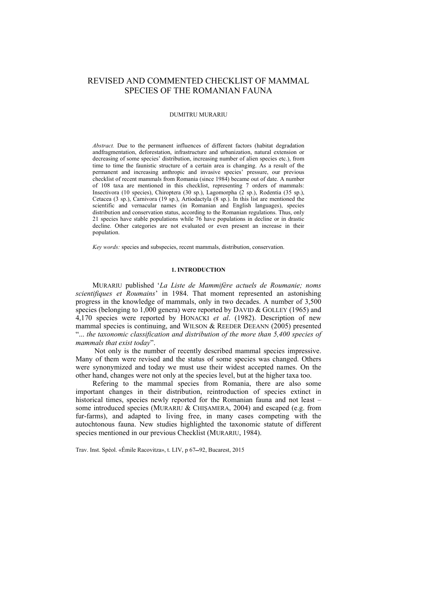# REVISED AND COMMENTED CHECKLIST OF MAMMAL SPECIES OF THE ROMANIAN FAUNA

## DUMITRU MURARIU

*Abstract.* Due to the permanent influences of different factors (habitat degradation andfragmentation, deforestation, infrastructure and urbanization, natural extension or decreasing of some species' distribution, increasing number of alien species etc.), from time to time the faunistic structure of a certain area is changing. As a result of the permanent and increasing anthropic and invasive species' pressure, our previous checklist of recent mammals from Romania (since 1984) became out of date. A number of 108 taxa are mentioned in this checklist, representing 7 orders of mammals: Insectivora (10 species), Chiroptera (30 sp.), Lagomorpha (2 sp.), Rodentia (35 sp.), Cetacea (3 sp.), Carnivora (19 sp.), Artiodactyla (8 sp.). In this list are mentioned the scientific and vernacular names (in Romanian and English languages), species distribution and conservation status, according to the Romanian regulations. Thus, only 21 species have stable populations while 76 have populations in decline or in drastic decline. Other categories are not evaluated or even present an increase in their population.

*Key words:* species and subspecies, recent mammals, distribution, conservation.

### **1. INTRODUCTION**

MURARIU published '*La Liste de Mammifère actuels de Roumanie; noms scientifiques et Roumains*' in 1984. That moment represented an astonishing progress in the knowledge of mammals, only in two decades. A number of 3,500 species (belonging to 1,000 genera) were reported by DAVID & GOLLEY (1965) and 4,170 species were reported by HONACKI *et al*. (1982). Description of new mammal species is continuing, and WILSON & REEDER DEEANN (2005) presented "... *the taxonomic classification and distribution of the more than 5,400 species of mammals that exist today*".

 Not only is the number of recently described mammal species impressive. Many of them were revised and the status of some species was changed. Others were synonymized and today we must use their widest accepted names. On the other hand, changes were not only at the species level, but at the higher taxa too.

Refering to the mammal species from Romania, there are also some important changes in their distribution, reintroduction of species extinct in historical times, species newly reported for the Romanian fauna and not least – some introduced species (MURARIU & CHIŞAMERA, 2004) and escaped (e.g. from fur-farms), and adapted to living free, in many cases competing with the autochtonous fauna. New studies highlighted the taxonomic statute of different species mentioned in our previous Checklist (MURARIU, 1984).

Trav. Inst. Spéol. «Émile Racovitza», t. LIV, p 67-92, Bucarest, 2015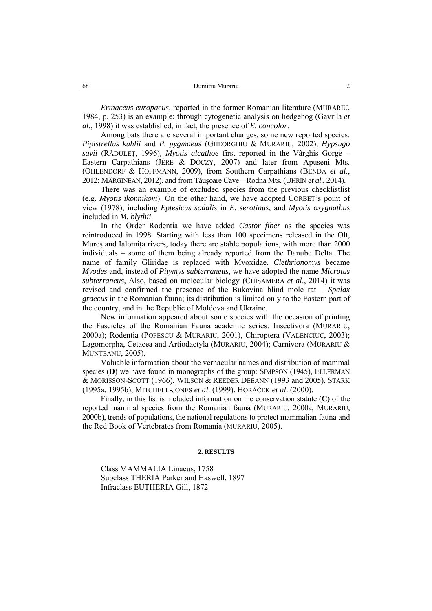*Erinaceus europaeus*, reported in the former Romanian literature (MURARIU, 1984, p. 253) is an example; through cytogenetic analysis on hedgehog (Gavrila *et al.*, 1998) it was established, in fact, the presence of *E. concolor*.

Among bats there are several important changes, some new reported species: *Pipistrellus kuhlii* and *P. pygmaeus* (GHEORGHIU & MURARIU, 2002)*, Hypsugo savii* (RĂDULEŢ, 1996)*, Myotis alcathoe* first reported in the Vârghiş Gorge – Eastern Carpathians (JÉRE & DÓCZY, 2007) and later from Apuseni Mts. (OHLENDORF & HOFFMANN, 2009), from Southern Carpathians (BENDA *et al*., 2012; MĂRGINEAN, 2012), and from Tăuşoare Cave – Rodna Mts. (UHRIN *et al*., 2014).

There was an example of excluded species from the previous checklistlist (e.g. *Myotis ikonnikovi*). On the other hand, we have adopted CORBET's point of view (1978), including *Eptesicus sodalis* in *E. serotinus*, and *Myotis oxygnathus*  included in *M. blythii*.

In the Order Rodentia we have added *Castor fiber* as the species was reintroduced in 1998. Starting with less than 100 specimens released in the Olt, Mures and Ialomita rivers, today there are stable populations, with more than 2000 individuals – some of them being already reported from the Danube Delta. The name of family Gliridae is replaced with Myoxidae. *Clethrionomys* became *Myodes* and, instead of *Pitymys subterraneus*, we have adopted the name *Microtus subterraneus*, Also, based on molecular biology (CHIŞAMERA *et al*., 2014) it was revised and confirmed the presence of the Bukovina blind mole rat – *Spalax graecus* in the Romanian fauna; its distribution is limited only to the Eastern part of the country, and in the Republic of Moldova and Ukraine.

New information appeared about some species with the occasion of printing the Fascicles of the Romanian Fauna academic series: Insectivora (MURARIU, 2000a); Rodentia (POPESCU & MURARIU, 2001), Chiroptera (VALENCIUC, 2003); Lagomorpha, Cetacea and Artiodactyla (MURARIU, 2004); Carnivora (MURARIU & MUNTEANU, 2005).

Valuable information about the vernacular names and distribution of mammal species (D) we have found in monographs of the group: SIMPSON (1945), ELLERMAN & MORISSON-SCOTT (1966), WILSON & REEDER DEEANN (1993 and 2005), STARK (1995a, 1995b), MITCHELL-JONES *et al*. (1999), HORÁČEK *et al*. (2000).

Finally, in this list is included information on the conservation statute (**C**) of the reported mammal species from the Romanian fauna (MURARIU, 2000a, MURARIU, 2000b), trends of populations, the national regulations to protect mammalian fauna and the Red Book of Vertebrates from Romania (MURARIU, 2005).

#### **2. RESULTS**

Class MAMMALIA Linaeus, 1758 Subclass THERIA Parker and Haswell, 1897 Infraclass EUTHERIA Gill, 1872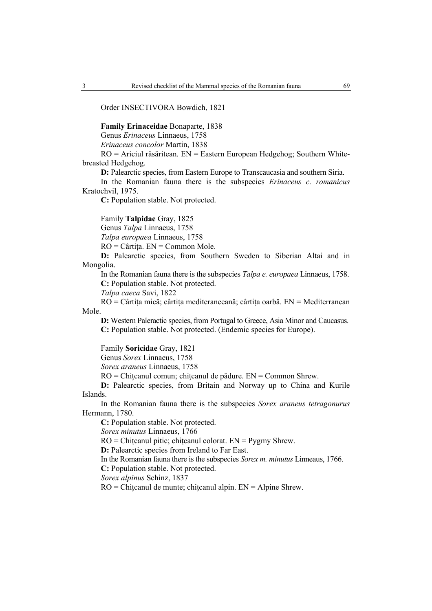Order INSECTIVORA Bowdich, 1821

**Family Erinaceidae** Bonaparte, 1838

Genus *Erinaceus* Linnaeus, 1758

*Erinaceus concolor* Martin, 1838

RO = Ariciul răsăritean. EN = Eastern European Hedgehog; Southern Whitebreasted Hedgehog.

**D:** Palearctic species, from Eastern Europe to Transcaucasia and southern Siria.

In the Romanian fauna there is the subspecies *Erinaceus c. romanicus* Kratochvil, 1975.

**C:** Population stable. Not protected.

Family **Talpidae** Gray, 1825

Genus *Talpa* Linnaeus, 1758

*Talpa europaea* Linnaeus, 1758

RO = Cârtiţa. EN = Common Mole.

**D:** Palearctic species, from Southern Sweden to Siberian Altai and in Mongolia.

In the Romanian fauna there is the subspecies *Talpa e. europaea* Linnaeus, 1758. **C:** Population stable. Not protected.

*Talpa caeca* Savi, 1822

RO = Cârtiţa mică; cârtiţa mediteraneeană; cârtiţa oarbă. EN = Mediterranean Mole.

**D:** Western Paleractic species, from Portugal to Greece, Asia Minor and Caucasus. **C:** Population stable. Not protected. (Endemic species for Europe).

Family **Soricidae** Gray, 1821

Genus *Sorex* Linnaeus, 1758

*Sorex araneus* Linnaeus, 1758

RO = Chiţcanul comun; chiţcanul de pădure. EN = Common Shrew.

**D:** Palearctic species, from Britain and Norway up to China and Kurile Islands.

In the Romanian fauna there is the subspecies *Sorex araneus tetragonurus* Hermann, 1780.

**C:** Population stable. Not protected.

*Sorex minutus* Linnaeus, 1766

 $RO = Chiteanul$  pitic; chitcanul colorat.  $EN = Pygmy Shrew$ .

**D:** Palearctic species from Ireland to Far East.

In the Romanian fauna there is the subspecies *Sorex m. minutus* Linneaus, 1766.

**C:** Population stable. Not protected.

*Sorex alpinus* Schinz, 1837

RO = Chiţcanul de munte; chiţcanul alpin. EN = Alpine Shrew.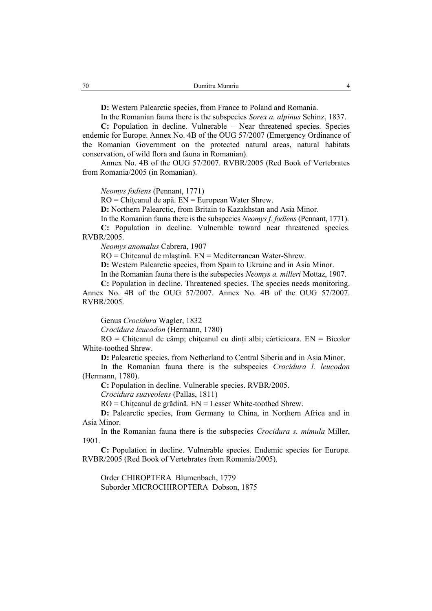**D:** Western Palearctic species, from France to Poland and Romania.

In the Romanian fauna there is the subspecies *Sorex a. alpinus* Schinz, 1837.

**C:** Population in decline. Vulnerable – Near threatened species. Species endemic for Europe. Annex No. 4B of the OUG 57/2007 (Emergency Ordinance of the Romanian Government on the protected natural areas, natural habitats conservation, of wild flora and fauna in Romanian).

Annex No. 4B of the OUG 57/2007. RVBR/2005 (Red Book of Vertebrates from Romania/2005 (in Romanian).

*Neomys fodiens* (Pennant, 1771)

RO = Chiţcanul de apă. EN = European Water Shrew.

**D:** Northern Palearctic, from Britain to Kazakhstan and Asia Minor.

In the Romanian fauna there is the subspecies *Neomys f. fodiens* (Pennant, 1771).

**C:** Population in decline. Vulnerable toward near threatened species. RVBR/2005.

*Neomys anomalus* Cabrera, 1907

RO = Chiţcanul de mlaştină. EN = Mediterranean Water-Shrew.

**D:** Western Palearctic species, from Spain to Ukraine and in Asia Minor.

In the Romanian fauna there is the subspecies *Neomys a. milleri* Mottaz, 1907.

**C:** Population in decline. Threatened species. The species needs monitoring. Annex No. 4B of the OUG 57/2007. Annex No. 4B of the OUG 57/2007. RVBR/2005.

Genus *Crocidura* Wagler, 1832

*Crocidura leucodon* (Hermann, 1780)

 $RO = Chitcanul$  de câmp; chitcanul cu dinți albi; cârticioara. EN = Bicolor White-toothed Shrew.

**D:** Palearctic species, from Netherland to Central Siberia and in Asia Minor.

In the Romanian fauna there is the subspecies *Crocidura l. leucodon*  (Hermann, 1780).

**C:** Population in decline. Vulnerable species. RVBR/2005.

*Crocidura suaveolens* (Pallas, 1811)

RO = Chiţcanul de grădină. EN = Lesser White-toothed Shrew.

**D:** Palearctic species, from Germany to China, in Northern Africa and in Asia Minor.

In the Romanian fauna there is the subspecies *Crocidura s. mimula* Miller, 1901.

**C:** Population in decline. Vulnerable species. Endemic species for Europe. RVBR/2005 (Red Book of Vertebrates from Romania/2005).

Order CHIROPTERA Blumenbach, 1779 Suborder MICROCHIROPTERA Dobson, 1875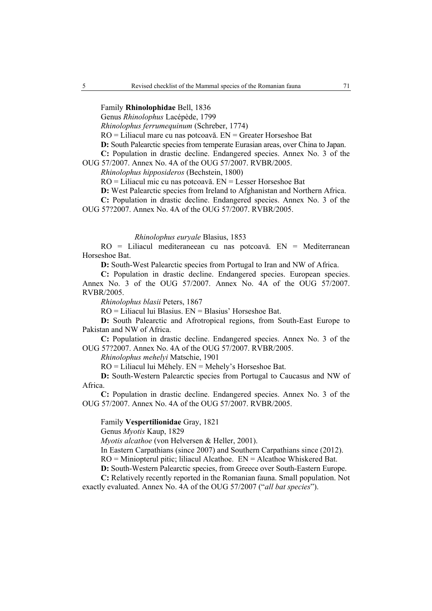Family **Rhinolophidae** Bell, 1836

Genus *Rhinolophus* Lacépède, 1799

*Rhinolophus ferrumequinum* (Schreber, 1774)

RO = Liliacul mare cu nas potcoavă. EN = Greater Horseshoe Bat

**D:** South Palearctic species from temperate Eurasian areas, over China to Japan.

**C:** Population in drastic decline. Endangered species. Annex No. 3 of the

OUG 57/2007. Annex No. 4A of the OUG 57/2007. RVBR/2005.

*Rhinolophus hipposideros* (Bechstein, 1800)

RO = Liliacul mic cu nas potcoavă. EN = Lesser Horseshoe Bat

**D:** West Palearctic species from Ireland to Afghanistan and Northern Africa.

**C:** Population in drastic decline. Endangered species. Annex No. 3 of the

OUG 57?2007. Annex No. 4A of the OUG 57/2007. RVBR/2005.

## *Rhinolophus euryale* Blasius, 1853

RO = Liliacul mediteraneean cu nas potcoavă. EN = Mediterranean Horseshoe Bat.

**D:** South-West Palearctic species from Portugal to Iran and NW of Africa.

**C:** Population in drastic decline. Endangered species. European species. Annex No. 3 of the OUG 57/2007. Annex No. 4A of the OUG 57/2007. RVBR/2005.

*Rhinolophus blasii* Peters, 1867

RO = Liliacul lui Blasius. EN = Blasius' Horseshoe Bat.

**D:** South Palearctic and Afrotropical regions, from South-East Europe to Pakistan and NW of Africa.

**C:** Population in drastic decline. Endangered species. Annex No. 3 of the OUG 57?2007. Annex No. 4A of the OUG 57/2007. RVBR/2005.

*Rhinolophus mehelyi* Matschie, 1901

RO = Liliacul lui Méhely. EN = Mehely's Horseshoe Bat.

**D:** South-Western Palearctic species from Portugal to Caucasus and NW of Africa.

**C:** Population in drastic decline. Endangered species. Annex No. 3 of the OUG 57/2007. Annex No. 4A of the OUG 57/2007. RVBR/2005.

## Family **Vespertilionidae** Gray, 1821

Genus *Myotis* Kaup, 1829

*Myotis alcathoe* (von Helversen & Heller, 2001).

In Eastern Carpathians (since 2007) and Southern Carpathians since (2012).

RO = Miniopterul pitic; liliacul Alcathoe. EN = Alcathoe Whiskered Bat.

**D:** South-Western Palearctic species, from Greece over South-Eastern Europe.

**C:** Relatively recently reported in the Romanian fauna. Small population. Not exactly evaluated. Annex No. 4A of the OUG 57/2007 ("*all bat species*").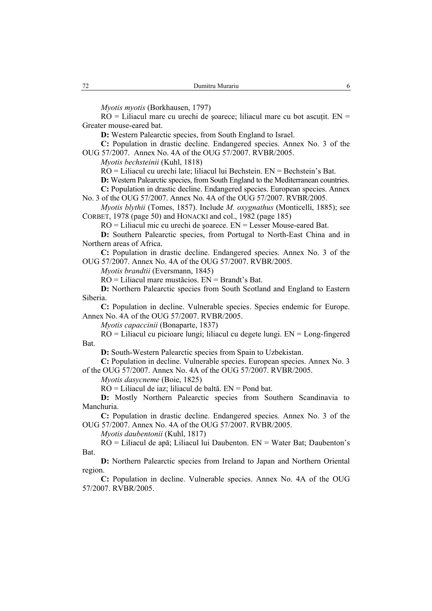*Myotis myotis* (Borkhausen, 1797)

 $RO =$  Liliacul mare cu urechi de soarece; liliacul mare cu bot ascutit.  $EN =$ Greater mouse-eared bat.

**D:** Western Palearctic species, from South England to Israel.

**C:** Population in drastic decline. Endangered species. Annex No. 3 of the OUG 57/2007. Annex No. 4A of the OUG 57/2007. RVBR/2005.

*Myotis bechsteinii* (Kuhl, 1818)

RO = Liliacul cu urechi late; liliacul lui Bechstein. EN = Bechstein's Bat.

**D:** Western Palearctic species, from South England to the Mediterranean countries.

**C:** Population in drastic decline. Endangered species. European species. Annex No. 3 of the OUG 57/2007. Annex No. 4A of the OUG 57/2007. RVBR/2005.

*Myotis blythii* (Tomes, 1857). Include *M. oxygnathus* (Monticelli, 1885); see CORBET, 1978 (page 50) and HONACKI and col., 1982 (page 185)

RO = Liliacul mic cu urechi de şoarece. EN = Lesser Mouse-eared Bat.

**D:** Southern Palearctic species, from Portugal to North-East China and in Northern areas of Africa.

**C:** Population in drastic decline. Endangered species. Annex No. 3 of the OUG 57/2007. Annex No. 4A of the OUG 57/2007. RVBR/2005.

*Myotis brandtii* (Eversmann, 1845)

RO = Liliacul mare mustăcios. EN = Brandt's Bat.

**D:** Northern Palearctic species from South Scotland and England to Eastern Siberia.

**C:** Population in decline. Vulnerable species. Species endemic for Europe. Annex No. 4A of the OUG 57/2007. RVBR/2005.

*Myotis capaccinii* (Bonaparte, 1837)

RO = Liliacul cu picioare lungi; liliacul cu degete lungi. EN = Long-fingered Bat.

**D:** South-Western Palearctic species from Spain to Uzbekistan.

**C:** Population in decline. Vulnerable species. European species. Annex No. 3 of the OUG 57/2007. Annex No. 4A of the OUG 57/2007. RVBR/2005.

*Myotis dasycneme* (Boie, 1825)

RO = Liliacul de iaz; liliacul de baltă. EN = Pond bat.

**D:** Mostly Northern Palearctic species from Southern Scandinavia to Manchuria.

**C:** Population in drastic decline. Endangered species. Annex No. 3 of the OUG 57/2007. Annex No. 4A of the OUG 57/2007. RVBR/2005.

*Myotis daubentonii* (Kuhl, 1817)

RO = Liliacul de apă; Liliacul lui Daubenton. EN = Water Bat; Daubenton's Bat.

**D:** Northern Palearctic species from Ireland to Japan and Northern Oriental region.

**C:** Population in decline. Vulnerable species. Annex No. 4A of the OUG 57/2007. RVBR/2005.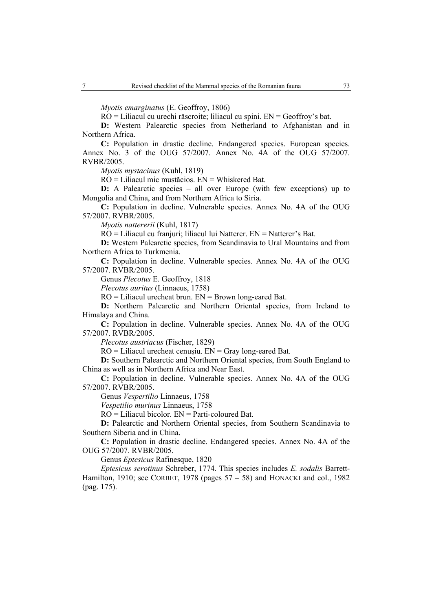*Myotis emarginatus* (E. Geoffroy, 1806)

RO = Liliacul cu urechi răscroite; liliacul cu spini. EN = Geoffroy's bat.

**D:** Western Palearctic species from Netherland to Afghanistan and in Northern Africa.

**C:** Population in drastic decline. Endangered species. European species. Annex No. 3 of the OUG 57/2007. Annex No. 4A of the OUG 57/2007. RVBR/2005.

*Myotis mystacinus* (Kuhl, 1819)

RO = Liliacul mic mustăcios. EN = Whiskered Bat.

**D:** A Palearctic species – all over Europe (with few exceptions) up to Mongolia and China, and from Northern Africa to Siria.

**C:** Population in decline. Vulnerable species. Annex No. 4A of the OUG 57/2007. RVBR/2005.

*Myotis nattererii* (Kuhl, 1817)

RO = Liliacul cu franjuri; liliacul lui Natterer. EN = Natterer's Bat.

**D:** Western Palearctic species, from Scandinavia to Ural Mountains and from Northern Africa to Turkmenia.

**C:** Population in decline. Vulnerable species. Annex No. 4A of the OUG 57/2007. RVBR/2005.

Genus *Plecotus* E. Geoffroy, 1818

*Plecotus auritus* (Linnaeus, 1758)

 $RO =$  Liliacul urecheat brun.  $EN =$  Brown long-eared Bat.

**D:** Northern Palearctic and Northern Oriental species, from Ireland to Himalaya and China.

**C:** Population in decline. Vulnerable species. Annex No. 4A of the OUG 57/2007. RVBR/2005.

*Plecotus austriacus* (Fischer, 1829)

 $RO =$  Liliacul urecheat cenusiu.  $EN =$  Gray long-eared Bat.

**D:** Southern Palearctic and Northern Oriental species, from South England to China as well as in Northern Africa and Near East.

**C:** Population in decline. Vulnerable species. Annex No. 4A of the OUG 57/2007. RVBR/2005.

Genus *Vespertilio* Linnaeus, 1758

*Vespetilio murinus* Linnaeus, 1758

RO = Liliacul bicolor. EN = Parti-coloured Bat.

**D:** Palearctic and Northern Oriental species, from Southern Scandinavia to Southern Siberia and in China.

**C:** Population in drastic decline. Endangered species. Annex No. 4A of the OUG 57/2007. RVBR/2005.

Genus *Eptesicus* Rafinesque, 1820

*Eptesicus serotinus* Schreber, 1774. This species includes *E. sodalis* Barrett-Hamilton, 1910; see CORBET, 1978 (pages  $57 - 58$ ) and HONACKI and col., 1982 (pag. 175).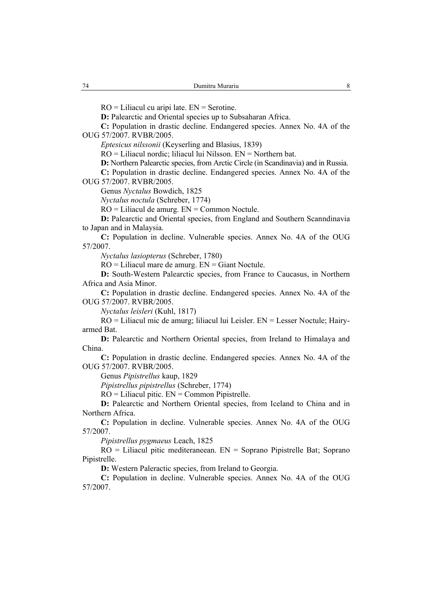$RO = Liliacul cu aripi late. EN = Service.$ 

**D:** Palearctic and Oriental species up to Subsaharan Africa.

**C:** Population in drastic decline. Endangered species. Annex No. 4A of the OUG 57/2007. RVBR/2005.

*Eptesicus nilssonii* (Keyserling and Blasius, 1839)

RO = Liliacul nordic; liliacul lui Nilsson. EN = Northern bat.

**D:** Northern Palearctic species, from Arctic Circle (in Scandinavia) and in Russia. **C:** Population in drastic decline. Endangered species. Annex No. 4A of the

OUG 57/2007. RVBR/2005.

Genus *Nyctalus* Bowdich, 1825

*Nyctalus noctula* (Schreber, 1774)

RO = Liliacul de amurg. EN = Common Noctule.

**D:** Palearctic and Oriental species, from England and Southern Scanndinavia to Japan and in Malaysia.

**C:** Population in decline. Vulnerable species. Annex No. 4A of the OUG 57/2007.

*Nyctalus lasiopterus* (Schreber, 1780)

RO = Liliacul mare de amurg. EN = Giant Noctule.

**D:** South-Western Palearctic species, from France to Caucasus, in Northern Africa and Asia Minor.

**C:** Population in drastic decline. Endangered species. Annex No. 4A of the OUG 57/2007. RVBR/2005.

*Nyctalus leisleri* (Kuhl, 1817)

RO = Liliacul mic de amurg; liliacul lui Leisler. EN = Lesser Noctule; Hairyarmed Bat.

**D:** Palearctic and Northern Oriental species, from Ireland to Himalaya and China.

**C:** Population in drastic decline. Endangered species. Annex No. 4A of the OUG 57/2007. RVBR/2005.

Genus *Pipistrellus* kaup, 1829

*Pipistrellus pipistrellus* (Schreber, 1774)

 $RO =$  Liliacul pitic.  $EN =$  Common Pipistrelle.

**D:** Palearctic and Northern Oriental species, from Iceland to China and in Northern Africa.

**C:** Population in decline. Vulnerable species. Annex No. 4A of the OUG 57/2007.

*Pipistrellus pygmaeus* Leach, 1825

 $RO =$  Liliacul pitic mediteraneean.  $EN =$  Soprano Pipistrelle Bat; Soprano Pipistrelle.

**D:** Western Paleractic species, from Ireland to Georgia.

**C:** Population in decline. Vulnerable species. Annex No. 4A of the OUG 57/2007.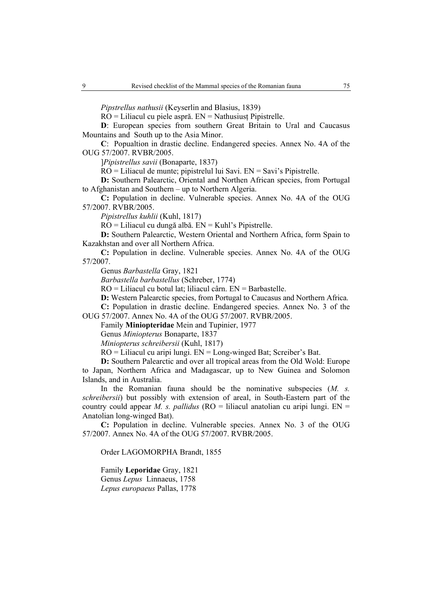*Pipstrellus nathusii* (Keyserlin and Blasius, 1839)

RO = Liliacul cu piele aspră. EN = Nathusiusţ Pipistrelle.

**D**: European species from southern Great Britain to Ural and Caucasus Mountains and South up to the Asia Minor.

**C**: Popualtion in drastic decline. Endangered species. Annex No. 4A of the OUG 57/2007. RVBR/2005.

]*Pipistrellus savii* (Bonaparte, 1837)

RO = Liliacul de munte; pipistrelul lui Savi. EN = Savi's Pipistrelle.

**D:** Southern Palearctic, Oriental and Northen African species, from Portugal to Afghanistan and Southern – up to Northern Algeria.

**C:** Population in decline. Vulnerable species. Annex No. 4A of the OUG 57/2007. RVBR/2005.

*Pipistrellus kuhlii* (Kuhl, 1817)

RO = Liliacul cu dungă albă. EN = Kuhl's Pipistrelle.

**D:** Southern Palearctic, Western Oriental and Northern Africa, form Spain to Kazakhstan and over all Northern Africa.

**C:** Population in decline. Vulnerable species. Annex No. 4A of the OUG 57/2007.

Genus *Barbastella* Gray, 1821

*Barbastella barbastellus* (Schreber, 1774)

RO = Liliacul cu botul lat; liliacul cârn. EN = Barbastelle.

**D:** Western Palearctic species, from Portugal to Caucasus and Northern Africa.

**C:** Population in drastic decline. Endangered species. Annex No. 3 of the OUG 57/2007. Annex No. 4A of the OUG 57/2007. RVBR/2005.

Family **Miniopteridae** Mein and Tupinier, 1977

Genus *Miniopterus* Bonaparte, 1837

*Miniopterus schreibersii* (Kuhl, 1817)

RO = Liliacul cu aripi lungi. EN = Long-winged Bat; Screiber's Bat.

**D:** Southern Palearctic and over all tropical areas from the Old Wold: Europe to Japan, Northern Africa and Madagascar, up to New Guinea and Solomon Islands, and in Australia.

In the Romanian fauna should be the nominative subspecies (*M. s. schreibersii*) but possibly with extension of areal, in South-Eastern part of the country could appear *M. s. pallidus*  $(RO = I\text{dil}$  anatolian cu aripi lungi.  $EN =$ Anatolian long-winged Bat).

**C:** Population in decline. Vulnerable species. Annex No. 3 of the OUG 57/2007. Annex No. 4A of the OUG 57/2007. RVBR/2005.

Order LAGOMORPHA Brandt, 1855

Family **Leporidae** Gray, 1821 Genus *Lepus* Linnaeus, 1758 *Lepus europaeus* Pallas, 1778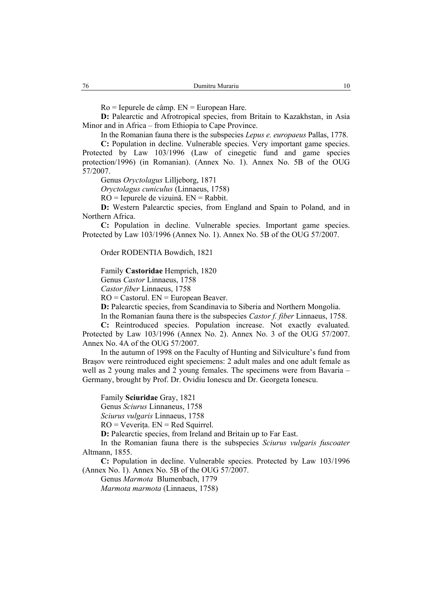Ro = Iepurele de câmp. EN = European Hare.

**D:** Palearctic and Afrotropical species, from Britain to Kazakhstan, in Asia Minor and in Africa – from Ethiopia to Cape Province.

In the Romanian fauna there is the subspecies *Lepus e. europaeus* Pallas, 1778.

**C:** Population in decline. Vulnerable species. Very important game species. Protected by Law 103/1996 (Law of cinegetic fund and game species protection/1996) (in Romanian). (Annex No. 1). Annex No. 5B of the OUG 57/2007.

Genus *Oryctolagus* Lilljeborg, 1871

*Oryctolagus cuniculus* (Linnaeus, 1758)

RO = Iepurele de vizuină. EN = Rabbit.

**D:** Western Palearctic species, from England and Spain to Poland, and in Northern Africa.

**C:** Population in decline. Vulnerable species. Important game species. Protected by Law 103/1996 (Annex No. 1). Annex No. 5B of the OUG 57/2007.

Order RODENTIA Bowdich, 1821

Family **Castoridae** Hemprich, 1820

Genus *Castor* Linnaeus, 1758

*Castor fiber* Linnaeus, 1758

 $RO =$  Castorul.  $EN =$  European Beaver.

**D:** Palearctic species, from Scandinavia to Siberia and Northern Mongolia.

In the Romanian fauna there is the subspecies *Castor f. fiber* Linnaeus, 1758. **C:** Reintroduced species. Population increase. Not exactly evaluated. Protected by Law 103/1996 (Annex No. 2). Annex No. 3 of the OUG 57/2007. Annex No. 4A of the OUG 57/2007.

In the autumn of 1998 on the Faculty of Hunting and Silviculture's fund from Braşov were reintroduced eight speciemens: 2 adult males and one adult female as well as 2 young males and 2 young females. The specimens were from Bavaria – Germany, brought by Prof. Dr. Ovidiu Ionescu and Dr. Georgeta Ionescu.

Family **Sciuridae** Gray, 1821

Genus *Sciurus* Linnaneus, 1758

*Sciurus vulgaris* Linnaeus, 1758

 $RO = Veverita$ .  $EN = Red Squirrel$ .

**D:** Palearctic species, from Ireland and Britain up to Far East.

In the Romanian fauna there is the subspecies *Sciurus vulgaris fuscoater* Altmann, 1855.

**C:** Population in decline. Vulnerable species. Protected by Law 103/1996 (Annex No. 1). Annex No. 5B of the OUG 57/2007.

Genus *Marmota* Blumenbach, 1779

*Marmota marmota* (Linnaeus, 1758)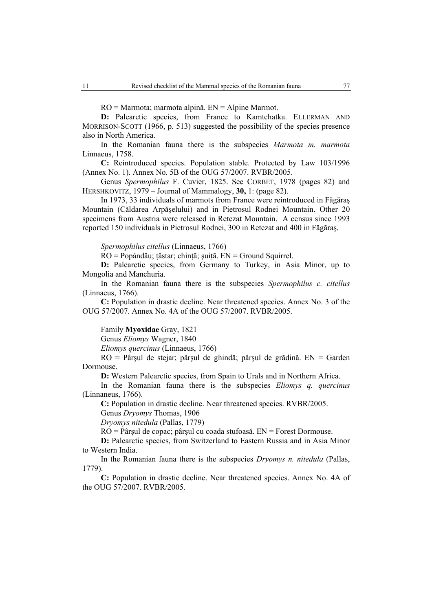RO = Marmota; marmota alpină. EN = Alpine Marmot.

D: Palearctic species, from France to Kamtchatka. ELLERMAN AND MORRISON-SCOTT (1966, p. 513) suggested the possibility of the species presence also in North America.

In the Romanian fauna there is the subspecies *Marmota m. marmota*  Linnaeus, 1758.

**C:** Reintroduced species. Population stable. Protected by Law 103/1996 (Annex No. 1). Annex No. 5B of the OUG 57/2007. RVBR/2005.

Genus *Spermophilus* F. Cuvier, 1825. See CORBET, 1978 (pages 82) and HERSHKOVITZ, 1979 – Journal of Mammalogy, **30,** 1: (page 82).

In 1973, 33 individuals of marmots from France were reintroduced in Făgăraş Mountain (Căldarea Arpăşelului) and in Pietrosul Rodnei Mountain. Other 20 specimens from Austria were released in Retezat Mountain. A census since 1993 reported 150 individuals in Pietrosul Rodnei, 300 in Retezat and 400 in Făgăraş.

*Spermophilus citellus* (Linnaeus, 1766)

RO = Popândău; ţâstar; chinţă; şuiţă. EN = Ground Squirrel.

**D:** Palearctic species, from Germany to Turkey, in Asia Minor, up to Mongolia and Manchuria.

In the Romanian fauna there is the subspecies *Spermophilus c. citellus*  (Linnaeus, 1766).

**C:** Population in drastic decline. Near threatened species. Annex No. 3 of the OUG 57/2007. Annex No. 4A of the OUG 57/2007. RVBR/2005.

Family **Myoxidae** Gray, 1821

Genus *Eliomys* Wagner, 1840

*Eliomys quercinus* (Linnaeus, 1766)

RO = Pârşul de stejar; pârşul de ghindă; pârşul de grădină. EN = Garden Dormouse.

**D:** Western Palearctic species, from Spain to Urals and in Northern Africa.

In the Romanian fauna there is the subspecies *Eliomys q. quercinus* (Linnaneus, 1766).

**C:** Population in drastic decline. Near threatened species. RVBR/2005.

Genus *Dryomys* Thomas, 1906 *Dryomys nitedula* (Pallas, 1779)

RO = Pârşul de copac; pârşul cu coada stufoasă. EN = Forest Dormouse.

**D:** Palearctic species, from Switzerland to Eastern Russia and in Asia Minor to Western India.

In the Romanian fauna there is the subspecies *Dryomys n. nitedula* (Pallas, 1779).

**C:** Population in drastic decline. Near threatened species. Annex No. 4A of the OUG 57/2007. RVBR/2005.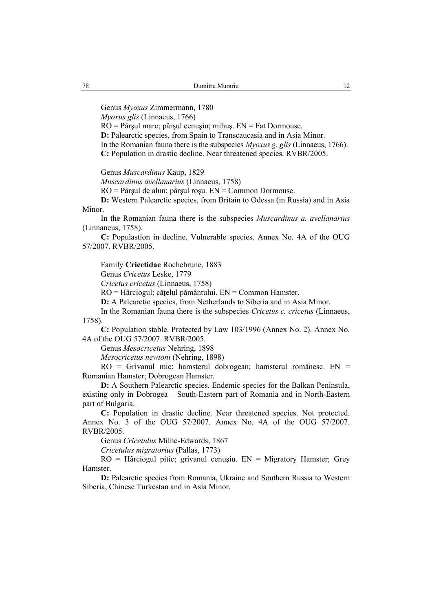Genus *Myoxus* Zimmermann, 1780

*Myoxus glis* (Linnaeus, 1766)

RO = Pârşul mare; pârşul cenuşiu; mihuş. EN = Fat Dormouse. **D:** Palearctic species, from Spain to Transcaucasia and in Asia Minor. In the Romanian fauna there is the subspecies *Myoxus g. glis* (Linnaeus, 1766). **C:** Population in drastic decline. Near threatened species. RVBR/2005.

Genus *Muscardinus* Kaup, 1829

*Muscardinus avellanarius* (Linnaeus, 1758)

RO = Pârşul de alun; pârşul roşu. EN = Common Dormouse.

**D:** Western Palearctic species, from Britain to Odessa (in Russia) and in Asia Minor.

In the Romanian fauna there is the subspecies *Muscardinus a. avellanarius* (Linnaneus, 1758).

**C:** Populastion in decline. Vulnerable species. Annex No. 4A of the OUG 57/2007. RVBR/2005.

Family **Cricetidae** Rochebrune, 1883

Genus *Cricetus* Leske, 1779

*Cricetus cricetus* (Linnaeus, 1758)

RO = Hârciogul; căţelul pământului. EN = Common Hamster.

**D:** A Palearctic species, from Netherlands to Siberia and in Asia Minor.

In the Romanian fauna there is the subspecies *Cricetus c. cricetus* (Linnaeus, 1758).

**C:** Population stable. Protected by Law 103/1996 (Annex No. 2). Annex No. 4A of the OUG 57/2007. RVBR/2005.

Genus *Mesocricetus* Nehring, 1898

*Mesocricetus newtoni* (Nehring, 1898)

RO = Grivanul mic; hamsterul dobrogean; hamsterul românesc. EN = Romanian Hamster; Dobrogean Hamster.

**D:** A Southern Palearctic species. Endemic species for the Balkan Peninsula, existing only in Dobrogea – South-Eastern part of Romania and in North-Eastern part of Bulgaria.

**C:** Population in drastic decline. Near threatened species. Not protected. Annex No. 3 of the OUG 57/2007. Annex No. 4A of the OUG 57/2007. RVBR/2005.

Genus *Cricetulus* Milne-Edwards, 1867

*Cricetulus migratorius* (Pallas, 1773)

RO = Hârciogul pitic; grivanul cenuşiu. EN = Migratory Hamster; Grey Hamster.

**D:** Palearctic species from Romania, Ukraine and Southern Russia to Western Siberia, Chinese Turkestan and in Asia Minor.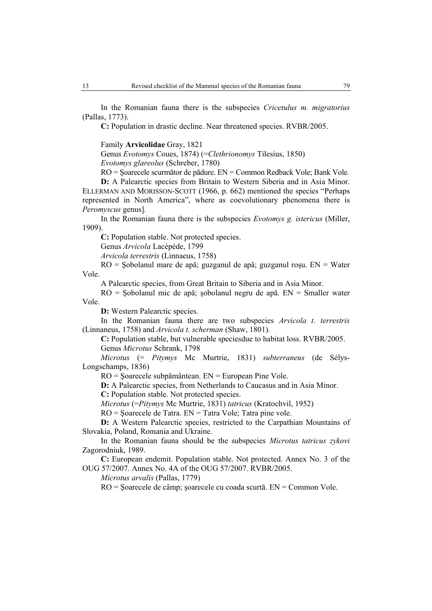In the Romanian fauna there is the subspecies *Cricetulus m. migratorius* (Pallas, 1773).

**C:** Population in drastic decline. Near threatened species. RVBR/2005.

Family **Arvicolidae** Gray, 1821

Genus *Evotomys* Coues, 1874) (=*Clethrionomys* Tilesius, 1850)

*Evotomys glareolus* (Schreber, 1780)

RO = Şoarecele scurmător de pădure. EN = Common Redback Vole; Bank Vole.

**D:** A Palearctic species from Britain to Western Siberia and in Asia Minor. ELLERMAN AND MORISSON-SCOTT (1966, p. 662) mentioned the species "Perhaps represented in North America", where as coevolutionary phenomena there is *Peromyscus* genus].

In the Romanian fauna there is the subspecies *Evotomys g. istericus* (Miller, 1909).

**C:** Population stable. Not protected species.

Genus *Arvicola* Lacépède, 1799

*Arvicola terrestris* (Linnaeus, 1758)

RO = Şobolanul mare de apă; guzganul de apă; guzganul roşu. EN = Water Vole.

A Palearctic species, from Great Britain to Siberia and in Asia Minor.

RO = Şobolanul mic de apă; şobolanul negru de apă. EN = Smaller water Vole.

**D:** Western Palearctic species.

In the Romanian fauna there are two subspecies *Arvicola t. terrestris*  (Linnaneus, 1758) and *Arvicola t. scherman* (Shaw, 1801).

**C:** Population stable, but vulnerable speciesdue to habitat loss. RVBR/2005. Genus *Microtus* Schrank, 1798

*Microtus* (= *Pitymys* Mc Murtrie, 1831) *subterraneus* (de Sélys-Longschamps, 1836)

RO = Şoarecele subpământean. EN = European Pine Vole.

**D:** A Palearctic species, from Netherlands to Caucasus and in Asia Minor.

**C:** Population stable. Not protected species.

*Microtus* (=*Pitymys* Mc Murtrie, 1831) *tatricus* (Kratochvil, 1952)

RO = Şoarecele de Tatra. EN = Tatra Vole; Tatra pine vole.

**D:** A Western Palearctic species, restricted to the Carpathian Mountains of Slovakia, Poland, Romania and Ukraine.

In the Romanian fauna should be the subspecies *Microtus tatricus zykovi*  Zagorodniuk, 1989.

**C:** European endemit. Population stable. Not protected. Annex No. 3 of the OUG 57/2007. Annex No. 4A of the OUG 57/2007. RVBR/2005.

*Microtus arvalis* (Pallas, 1779)

RO = Şoarecele de câmp; şoarecele cu coada scurtă. EN = Common Vole.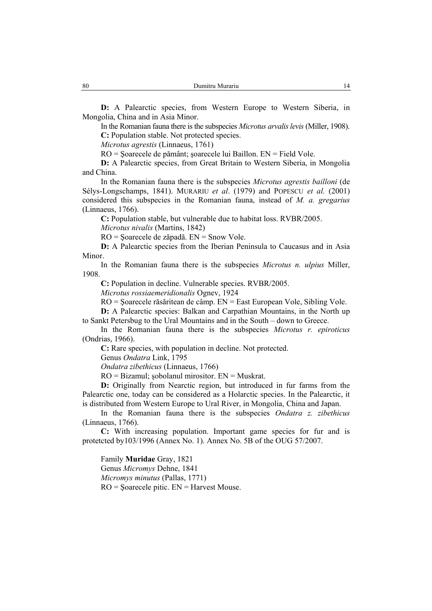**D:** A Palearctic species, from Western Europe to Western Siberia, in Mongolia, China and in Asia Minor.

In the Romanian fauna there is the subspecies *Microtus arvalis levis* (Miller, 1908). **C:** Population stable. Not protected species.

*Microtus agrestis* (Linnaeus, 1761)

RO = Şoarecele de pământ; şoarecele lui Baillon. EN = Field Vole.

**D:** A Palearctic species, from Great Britain to Western Siberia, in Mongolia and China.

In the Romanian fauna there is the subspecies *Microtus agrestis bailloni* (de Sélys-Longschamps, 1841). MURARIU *et al*. (1979) and POPESCU *et al.* (2001) considered this subspecies in the Romanian fauna, instead of *M. a. gregarius*  (Linnaeus, 1766).

**C:** Population stable, but vulnerable due to habitat loss. RVBR/2005.

*Microtus nivalis* (Martins, 1842)

RO = Şoarecele de zăpadă. EN = Snow Vole.

**D:** A Palearctic species from the Iberian Peninsula to Caucasus and in Asia Minor.

In the Romanian fauna there is the subspecies *Microtus n. ulpius* Miller, 1908.

**C:** Population in decline. Vulnerable species. RVBR/2005.

*Microtus rossiaemeridionalis* Ognev, 1924

RO = Şoarecele răsăritean de câmp. EN = East European Vole, Sibling Vole.

**D:** A Palearctic species: Balkan and Carpathian Mountains, in the North up to Sankt Petersbug to the Ural Mountains and in the South – down to Greece.

In the Romanian fauna there is the subspecies *Microtus r. epiroticus*  (Ondrias, 1966).

**C:** Rare species, with population in decline. Not protected.

Genus *Ondatra* Link, 1795

*Ondatra zibethicus* (Linnaeus, 1766)

 $RO = Bizamul$ ; sobolanul mirositor.  $EN = Muskrat$ .

**D:** Originally from Nearctic region, but introduced in fur farms from the Palearctic one, today can be considered as a Holarctic species. In the Palearctic, it is distributed from Western Europe to Ural River, in Mongolia, China and Japan.

In the Romanian fauna there is the subspecies *Ondatra z. zibethicus*  (Linnaeus, 1766).

**C:** With increasing population. Important game species for fur and is protetcted by103/1996 (Annex No. 1). Annex No. 5B of the OUG 57/2007.

Family **Muridae** Gray, 1821 Genus *Micromys* Dehne, 1841 *Micromys minutus* (Pallas, 1771)  $RO =$ Soarecele pitic.  $EN =$  Harvest Mouse.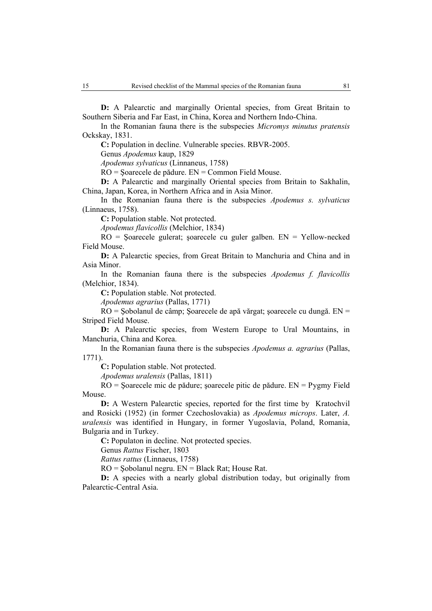**D:** A Palearctic and marginally Oriental species, from Great Britain to Southern Siberia and Far East, in China, Korea and Northern Indo-China.

In the Romanian fauna there is the subspecies *Micromys minutus pratensis*  Ockskay, 1831.

**C:** Population in decline. Vulnerable species. RBVR-2005.

Genus *Apodemus* kaup, 1829

*Apodemus sylvaticus* (Linnaneus, 1758)

RO = Şoarecele de pădure. EN = Common Field Mouse.

**D:** A Palearctic and marginally Oriental species from Britain to Sakhalin, China, Japan, Korea, in Northern Africa and in Asia Minor.

In the Romanian fauna there is the subspecies *Apodemus s. sylvaticus* (Linnaeus, 1758).

**C:** Population stable. Not protected.

*Apodemus flavicollis* (Melchior, 1834)

RO = Şoarecele gulerat; şoarecele cu guler galben. EN = Yellow-necked Field Mouse.

**D:** A Palearctic species, from Great Britain to Manchuria and China and in Asia Minor.

In the Romanian fauna there is the subspecies *Apodemus f. flavicollis*  (Melchior, 1834).

**C:** Population stable. Not protected.

*Apodemus agrarius* (Pallas, 1771)

RO = Şobolanul de câmp; Şoarecele de apă vărgat; şoarecele cu dungă. EN = Striped Field Mouse.

**D:** A Palearctic species, from Western Europe to Ural Mountains, in Manchuria, China and Korea.

In the Romanian fauna there is the subspecies *Apodemus a. agrarius* (Pallas, 1771).

**C:** Population stable. Not protected.

*Apodemus uralensis* (Pallas, 1811)

RO = Şoarecele mic de pădure; şoarecele pitic de pădure. EN = Pygmy Field Mouse.

**D:** A Western Palearctic species, reported for the first time by Kratochvil and Rosicki (1952) (in former Czechoslovakia) as *Apodemus microps*. Later, *A. uralensis* was identified in Hungary, in former Yugoslavia, Poland, Romania, Bulgaria and in Turkey.

**C:** Populaton in decline. Not protected species.

Genus *Rattus* Fischer, 1803

*Rattus rattus* (Linnaeus, 1758)

RO = Şobolanul negru. EN = Black Rat; House Rat.

**D:** A species with a nearly global distribution today, but originally from Palearctic-Central Asia.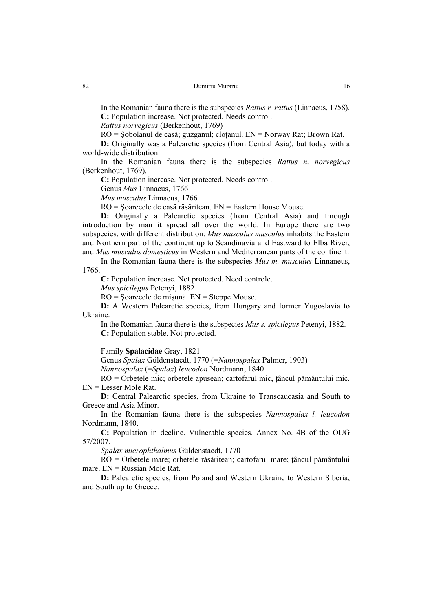In the Romanian fauna there is the subspecies *Rattus r. rattus* (Linnaeus, 1758). **C:** Population increase. Not protected. Needs control.

*Rattus norvegicus* (Berkenhout, 1769)

RO = Şobolanul de casă; guzganul; cloţanul. EN = Norway Rat; Brown Rat.

**D:** Originally was a Palearctic species (from Central Asia), but today with a world-wide distribution.

In the Romanian fauna there is the subspecies *Rattus n. norvegicus*  (Berkenhout, 1769).

**C:** Population increase. Not protected. Needs control.

Genus *Mus* Linnaeus, 1766

*Mus musculus* Linnaeus, 1766

RO = Şoarecele de casă răsăritean. EN = Eastern House Mouse.

**D:** Originally a Palearctic species (from Central Asia) and through introduction by man it spread all over the world. In Europe there are two subspecies, with different distribution: *Mus musculus musculus* inhabits the Eastern and Northern part of the continent up to Scandinavia and Eastward to Elba River, and *Mus musculus domesticus* in Western and Mediterranean parts of the continent.

In the Romanian fauna there is the subspecies *Mus m. musculus* Linnaneus, 1766.

**C:** Population increase. Not protected. Need controle.

*Mus spicilegus* Petenyi, 1882

RO = Şoarecele de mişună. EN = Steppe Mouse.

**D:** A Western Palearctic species, from Hungary and former Yugoslavia to Ukraine.

In the Romanian fauna there is the subspecies *Mus s. spicilegus* Petenyi, 1882. **C:** Population stable. Not protected.

Family **Spalacidae** Gray, 1821

Genus *Spalax* Güldenstaedt, 1770 (=*Nannospalax* Palmer, 1903)

*Nannospalax* (=*Spalax*) *leucodon* Nordmann, 1840

RO = Orbetele mic; orbetele apusean; cartofarul mic, ţâncul pământului mic. EN = Lesser Mole Rat.

**D:** Central Palearctic species, from Ukraine to Transcaucasia and South to Greece and Asia Minor.

In the Romanian fauna there is the subspecies *Nannospalax l. leucodon*  Nordmann, 1840.

**C:** Population in decline. Vulnerable species. Annex No. 4B of the OUG 57/2007.

*Spalax microphthalmus* Güldenstaedt, 1770

 $\overline{RO}$  = Orbetele mare; orbetele răsăritean; cartofarul mare; tâncul pământului mare.  $EN = Russian Mode Rat$ .

**D:** Palearctic species, from Poland and Western Ukraine to Western Siberia, and South up to Greece.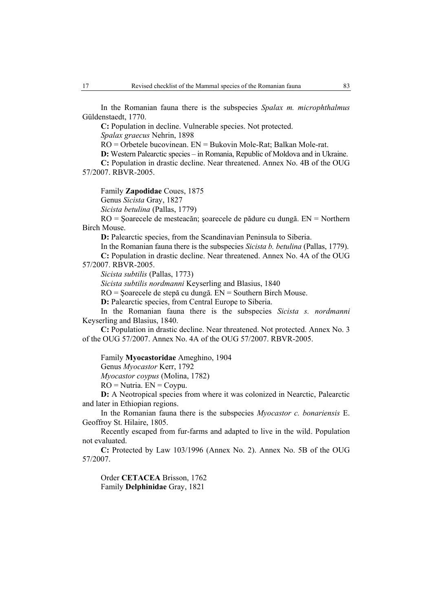In the Romanian fauna there is the subspecies *Spalax m. microphthalmus*  Güldenstaedt, 1770.

**C:** Population in decline. Vulnerable species. Not protected.

*Spalax graecus* Nehrin, 1898

RO = Orbetele bucovinean. EN = Bukovin Mole-Rat; Balkan Mole-rat.

**D:** Western Palearctic species – in Romania, Republic of Moldova and in Ukraine.

**C:** Population in drastic decline. Near threatened. Annex No. 4B of the OUG 57/2007. RBVR-2005.

Family **Zapodidae** Coues, 1875 Genus *Sicista* Gray, 1827

*Sicista betulina* (Pallas, 1779)

RO = Şoarecele de mesteacăn; şoarecele de pădure cu dungă. EN = Northern Birch Mouse.

**D:** Palearctic species, from the Scandinavian Peninsula to Siberia.

In the Romanian fauna there is the subspecies *Sicista b. betulina* (Pallas, 1779). **C:** Population in drastic decline. Near threatened. Annex No. 4A of the OUG

57/2007. RBVR-2005.

*Sicista subtilis* (Pallas, 1773)

*Sicista subtilis nordmanni* Keyserling and Blasius, 1840

RO = Şoarecele de stepă cu dungă. EN = Southern Birch Mouse.

**D:** Palearctic species, from Central Europe to Siberia.

In the Romanian fauna there is the subspecies *Sicista s. nordmanni*  Keyserling and Blasius, 1840.

**C:** Population in drastic decline. Near threatened. Not protected. Annex No. 3 of the OUG 57/2007. Annex No. 4A of the OUG 57/2007. RBVR-2005.

Family **Myocastoridae** Ameghino, 1904

Genus *Myocastor* Kerr, 1792

*Myocastor coypus* (Molina, 1782)

 $RO = Nutria$ .  $EN = Copyu$ .

**D:** A Neotropical species from where it was colonized in Nearctic, Palearctic and later in Ethiopian regions.

In the Romanian fauna there is the subspecies *Myocastor c. bonariensis* E. Geoffroy St. Hilaire, 1805.

Recently escaped from fur-farms and adapted to live in the wild. Population not evaluated.

**C:** Protected by Law 103/1996 (Annex No. 2). Annex No. 5B of the OUG 57/2007.

Order **CETACEA** Brisson, 1762 Family **Delphinidae** Gray, 1821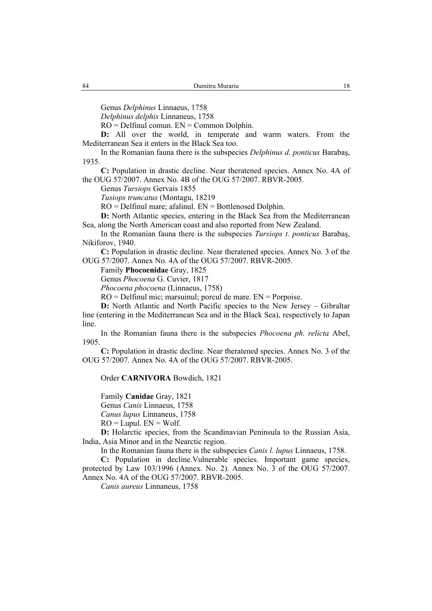Genus *Delphinus* Linnaeus, 1758

*Delphinus delphis* Linnaneus, 1758

 $RO = Delfinul$  comun.  $EN = Common$  Dolphin.

**D:** All over the world, in temperate and warm waters. From the Mediterranean Sea it enters in the Black Sea too.

In the Romanian fauna there is the subspecies *Delphinus d. ponticus* Barabaş, 1935.

**C:** Population in drastic decline. Near theratened species. Annex No. 4A of the OUG 57/2007. Annex No. 4B of the OUG 57/2007. RBVR-2005.

Genus *Tursiops* Gervais 1855

*Tusiops truncatus* (Montagu, 18219

 $RO = Delfinul mare$ ; afalinul.  $EN = Bottlenosed Dolphin$ .

**D:** North Atlantic species, entering in the Black Sea from the Mediterranean Sea, along the North American coast and also reported from New Zealand.

In the Romanian fauna there is the subspecies *Tursiops t. ponticus* Barabaş, Nikiforov, 1940.

**C:** Population in drastic decline. Near theratened species. Annex No. 3 of the OUG 57/2007. Annex No. 4A of the OUG 57/2007. RBVR-2005.

Family **Phocoenidae** Gray, 1825

Genus *Phocoena* G. Cuvier, 1817

*Phocoena phocoena* (Linnaeus, 1758)

RO = Delfinul mic; marsuinul; porcul de mare. EN = Porpoise.

**D:** North Atlantic and North Pacific species to the New Jersey – Gibraltar line (entering in the Mediterranean Sea and in the Black Sea), respectively to Japan line.

In the Romanian fauna there is the subspecies *Phocoena ph. relicta* Abel, 1905.

**C:** Population in drastic decline. Near theratened species. Annex No. 3 of the OUG 57/2007. Annex No. 4A of the OUG 57/2007. RBVR-2005.

Order **CARNIVORA** Bowdich, 1821

Family **Canidae** Gray, 1821

Genus *Canis* Linnaeus, 1758

*Canus lupus* Linnaneus, 1758

 $RO = Lupul$ .  $EN = Wolf$ .

**D:** Holarctic species, from the Scandinavian Peninsula to the Russian Asia, India, Asia Minor and in the Nearctic region.

In the Romanian fauna there is the subspecies *Canis l. lupus* Linnaeus, 1758.

**C:** Population in decline.Vulnerable species. Important game species, protected by Law 103/1996 (Annex. No. 2). Annex No. 3 of the OUG 57/2007. Annex No. 4A of the OUG 57/2007. RBVR-2005.

*Canis aureus* Linnaneus, 1758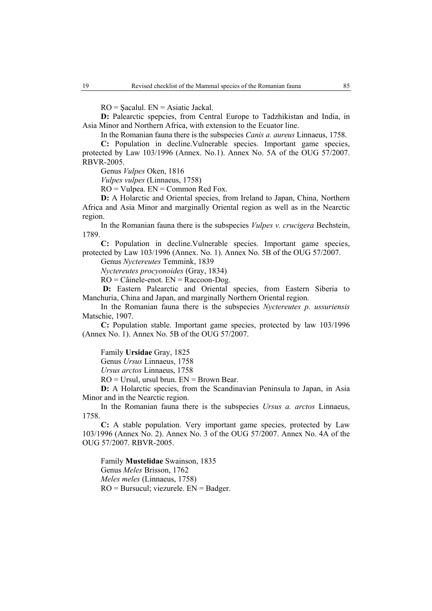$RO =$ Sacalul.  $EN =$ Asiatic Jackal.

**D:** Palearctic spepcies, from Central Europe to Tadzhikistan and India, in Asia Minor and Northern Africa, with extension to the Ecuator line.

In the Romanian fauna there is the subspecies *Canis a. aureus* Linnaeus, 1758.

**C:** Population in decline.Vulnerable species. Important game species, protected by Law 103/1996 (Annex. No.1). Annex No. 5A of the OUG 57/2007. RBVR-2005.

Genus *Vulpes* Oken, 1816

*Vulpes vulpes* (Linnaeus, 1758)

 $RO =$ Vulpea.  $EN =$ Common Red Fox.

**D:** A Holarctic and Oriental species, from Ireland to Japan, China, Northern Africa and Asia Minor and marginally Oriental region as well as in the Nearctic region.

In the Romanian fauna there is the subspecies *Vulpes v. crucigera* Bechstein, 1789.

**C:** Population in decline.Vulnerable species. Important game species, protected by Law 103/1996 (Annex. No. 1). Annex No. 5B of the OUG 57/2007.

Genus *Nyctereutes* Temmink, 1839

*Nyctereutes procyonoides* (Gray, 1834)

 $RO = C\hat{a}$ inele-enot.  $EN = Raccoon-Dog$ .

**D:** Eastern Palearctic and Oriental species, from Eastern Siberia to Manchuria, China and Japan, and marginally Northern Oriental region.

In the Romanian fauna there is the subspecies *Nyctereutes p. ussuriensis*  Matschie, 1907.

**C:** Population stable. Important game species, protected by law 103/1996 (Annex No. 1). Annex No. 5B of the OUG 57/2007.

Family **Ursidae** Gray, 1825

Genus *Ursus* Linnaeus, 1758

*Ursus arctos* Linnaeus, 1758

 $RO = Ursul$ , ursul brun.  $EN = Brown$  Bear.

**D:** A Holarctic species, from the Scandinavian Peninsula to Japan, in Asia Minor and in the Nearctic region.

In the Romanian fauna there is the subspecies *Ursus a. arctos* Linnaeus, 1758.

**C:** A stable population. Very important game species, protected by Law 103/1996 (Annex No. 2). Annex No. 3 of the OUG 57/2007. Annex No. 4A of the OUG 57/2007. RBVR-2005.

Family **Mustelidae** Swainson, 1835 Genus *Meles* Brisson, 1762 *Meles meles* (Linnaeus, 1758)  $RO = Bursucul$ ; viezurele.  $EN = Badger$ .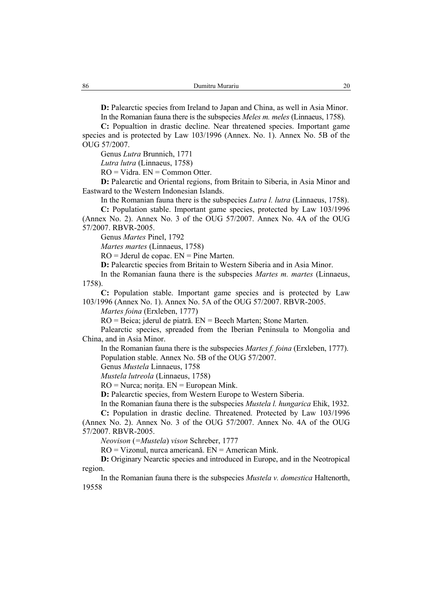**D:** Palearctic species from Ireland to Japan and China, as well in Asia Minor. In the Romanian fauna there is the subspecies *Meles m. meles* (Linnaeus, 1758).

**C:** Popualtion in drastic decline. Near threatened species. Important game species and is protected by Law 103/1996 (Annex. No. 1). Annex No. 5B of the OUG 57/2007.

Genus *Lutra* Brunnich, 1771

*Lutra lutra* (Linnaeus, 1758)

 $RO = Vidra$ .  $EN = Common Otter$ .

**D:** Palearctic and Oriental regions, from Britain to Siberia, in Asia Minor and Eastward to the Western Indonesian Islands.

In the Romanian fauna there is the subspecies *Lutra l. lutra* (Linnaeus, 1758).

**C:** Population stable. Important game species, protected by Law 103/1996 (Annex No. 2). Annex No. 3 of the OUG 57/2007. Annex No. 4A of the OUG 57/2007. RBVR-2005.

Genus *Martes* Pinel, 1792

*Martes martes* (Linnaeus, 1758)

RO = Jderul de copac. EN = Pine Marten.

**D:** Palearctic species from Britain to Western Siberia and in Asia Minor.

In the Romanian fauna there is the subspecies *Martes m. martes* (Linnaeus, 1758).

**C:** Population stable. Important game species and is protected by Law 103/1996 (Annex No. 1). Annex No. 5A of the OUG 57/2007. RBVR-2005.

*Martes foina* (Erxleben, 1777)

RO = Beica; jderul de piatră. EN = Beech Marten; Stone Marten.

Palearctic species, spreaded from the Iberian Peninsula to Mongolia and China, and in Asia Minor.

In the Romanian fauna there is the subspecies *Martes f. foina* (Erxleben, 1777). Population stable. Annex No. 5B of the OUG 57/2007.

Genus *Mustela* Linnaeus, 1758

*Mustela lutreola* (Linnaeus, 1758)

 $RO = Nurca$ ; norița.  $EN = European Mink$ .

**D:** Palearctic species, from Western Europe to Western Siberia.

In the Romanian fauna there is the subspecies *Mustela l. hungarica* Ehik, 1932.

**C:** Population in drastic decline. Threatened. Protected by Law 103/1996 (Annex No. 2). Annex No. 3 of the OUG 57/2007. Annex No. 4A of the OUG 57/2007. RBVR-2005.

*Neovison* (*=Mustela*) *vison* Schreber, 1777

RO = Vizonul, nurca americană. EN = American Mink.

**D:** Originary Nearctic species and introduced in Europe, and in the Neotropical region.

In the Romanian fauna there is the subspecies *Mustela v. domestica* Haltenorth, 19558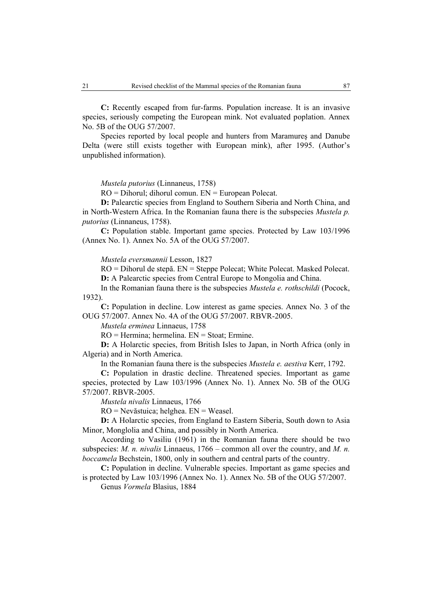**C:** Recently escaped from fur-farms. Population increase. It is an invasive species, seriously competing the European mink. Not evaluated poplation. Annex No. 5B of the OUG 57/2007.

Species reported by local people and hunters from Maramureş and Danube Delta (were still exists together with European mink), after 1995. (Author's unpublished information).

*Mustela putorius* (Linnaneus, 1758)

RO = Dihorul; dihorul comun. EN = European Polecat.

**D:** Palearctic species from England to Southern Siberia and North China, and in North-Western Africa. In the Romanian fauna there is the subspecies *Mustela p. putorius* (Linnaneus, 1758).

**C:** Population stable. Important game species. Protected by Law 103/1996 (Annex No. 1). Annex No. 5A of the OUG 57/2007.

*Mustela eversmannii* Lesson, 1827

RO = Dihorul de stepă. EN = Steppe Polecat; White Polecat. Masked Polecat. **D:** A Palearctic species from Central Europe to Mongolia and China.

In the Romanian fauna there is the subspecies *Mustela e. rothschildi* (Pocock, 1932).

**C:** Population in decline. Low interest as game species. Annex No. 3 of the OUG 57/2007. Annex No. 4A of the OUG 57/2007. RBVR-2005.

*Mustela erminea* Linnaeus, 1758

RO = Hermina; hermelina. EN = Stoat; Ermine.

**D:** A Holarctic species, from British Isles to Japan, in North Africa (only in Algeria) and in North America.

In the Romanian fauna there is the subspecies *Mustela e. aestiva* Kerr, 1792.

**C:** Population in drastic decline. Threatened species. Important as game species, protected by Law 103/1996 (Annex No. 1). Annex No. 5B of the OUG 57/2007. RBVR-2005.

*Mustela nivalis* Linnaeus, 1766

RO = Nevăstuica; helghea. EN = Weasel.

**D:** A Holarctic species, from England to Eastern Siberia, South down to Asia Minor, Monglolia and China, and possibly in North America.

According to Vasiliu (1961) in the Romanian fauna there should be two subspecies: *M. n. nivalis* Linnaeus, 1766 – common all over the country, and *M. n. boccamela* Bechstein, 1800, only in southern and central parts of the country.

**C:** Population in decline. Vulnerable species. Important as game species and is protected by Law 103/1996 (Annex No. 1). Annex No. 5B of the OUG 57/2007.

Genus *Vormela* Blasius, 1884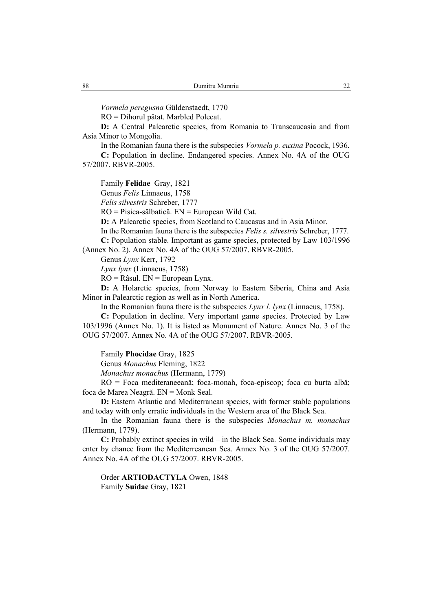*Vormela peregusna* Güldenstaedt, 1770

RO = Dihorul pătat. Marbled Polecat.

**D:** A Central Palearctic species, from Romania to Transcaucasia and from Asia Minor to Mongolia.

In the Romanian fauna there is the subspecies *Vormela p. euxina* Pocock, 1936.

**C:** Population in decline. Endangered species. Annex No. 4A of the OUG 57/2007. RBVR-2005.

Family **Felidae** Gray, 1821

Genus *Felis* Linnaeus, 1758

*Felis silvestris* Schreber, 1777

RO = Pisica-sălbatică. EN = European Wild Cat.

**D:** A Palearctic species, from Scotland to Caucasus and in Asia Minor.

In the Romanian fauna there is the subspecies *Felis s. silvestris* Schreber, 1777.

**C:** Population stable. Important as game species, protected by Law 103/1996 (Annex No. 2). Annex No. 4A of the OUG 57/2007. RBVR-2005.

Genus *Lynx* Kerr, 1792

*Lynx lynx* (Linnaeus, 1758)

 $RO = R\hat{a}$ sul.  $EN = European Lynx$ .

**D:** A Holarctic species, from Norway to Eastern Siberia, China and Asia Minor in Palearctic region as well as in North America.

In the Romanian fauna there is the subspecies *Lynx l. lynx* (Linnaeus, 1758).

**C:** Population in decline. Very important game species. Protected by Law 103/1996 (Annex No. 1). It is listed as Monument of Nature. Annex No. 3 of the OUG 57/2007. Annex No. 4A of the OUG 57/2007. RBVR-2005.

Family **Phocidae** Gray, 1825

Genus *Monachus* Fleming, 1822

*Monachus monachus* (Hermann, 1779)

RO = Foca mediteraneeană; foca-monah, foca-episcop; foca cu burta albă; foca de Marea Neagră. EN = Monk Seal.

**D:** Eastern Atlantic and Mediterranean species, with former stable populations and today with only erratic individuals in the Western area of the Black Sea.

In the Romanian fauna there is the subspecies *Monachus m. monachus*  (Hermann, 1779).

**C:** Probably extinct species in wild – in the Black Sea. Some individuals may enter by chance from the Mediterreanean Sea. Annex No. 3 of the OUG 57/2007. Annex No. 4A of the OUG 57/2007. RBVR-2005.

Order **ARTIODACTYLA** Owen, 1848 Family **Suidae** Gray, 1821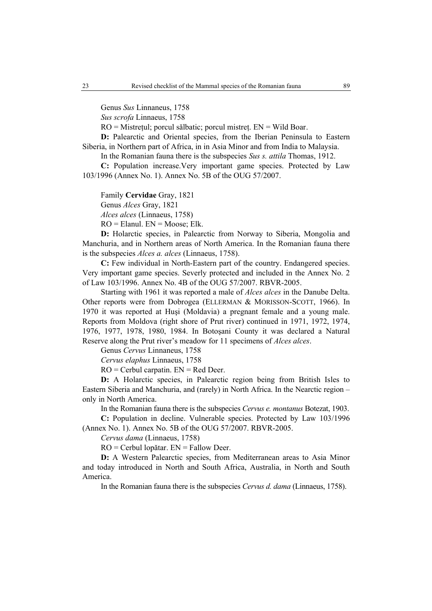Genus *Sus* Linnaneus, 1758

*Sus scrofa* Linnaeus, 1758

RO = Mistreţul; porcul sălbatic; porcul mistreţ. EN = Wild Boar.

**D:** Palearctic and Oriental species, from the Iberian Peninsula to Eastern Siberia, in Northern part of Africa, in in Asia Minor and from India to Malaysia.

In the Romanian fauna there is the subspecies *Sus s. attila* Thomas, 1912.

**C:** Population increase.Very important game species. Protected by Law 103/1996 (Annex No. 1). Annex No. 5B of the OUG 57/2007.

Family **Cervidae** Gray, 1821 Genus *Alces* Gray, 1821 *Alces alces* (Linnaeus, 1758)  $RO =$  Elanul.  $EN =$  Moose; Elk.

**D:** Holarctic species, in Palearctic from Norway to Siberia, Mongolia and Manchuria, and in Northern areas of North America. In the Romanian fauna there is the subspecies *Alces a. alces* (Linnaeus, 1758).

**C:** Few individual in North-Eastern part of the country. Endangered species. Very important game species. Severly protected and included in the Annex No. 2 of Law 103/1996. Annex No. 4B of the OUG 57/2007. RBVR-2005.

Starting with 1961 it was reported a male of *Alces alces* in the Danube Delta. Other reports were from Dobrogea (ELLERMAN & MORISSON-SCOTT, 1966). In 1970 it was reported at Huşi (Moldavia) a pregnant female and a young male. Reports from Moldova (right shore of Prut river) continued in 1971, 1972, 1974, 1976, 1977, 1978, 1980, 1984. In Botoşani County it was declared a Natural Reserve along the Prut river's meadow for 11 specimens of *Alces alces*.

Genus *Cervus* Linnaneus, 1758

*Cervus elaphus* Linnaeus, 1758

 $RO = C$ erbul carpatin.  $EN = Red$  Deer.

**D:** A Holarctic species, in Palearctic region being from British Isles to Eastern Siberia and Manchuria, and (rarely) in North Africa. In the Nearctic region – only in North America.

In the Romanian fauna there is the subspecies *Cervus e. montanus* Botezat, 1903. **C:** Population in decline. Vulnerable species. Protected by Law 103/1996

(Annex No. 1). Annex No. 5B of the OUG 57/2007. RBVR-2005.

*Cervus dama* (Linnaeus, 1758)

RO = Cerbul lopătar. EN = Fallow Deer.

**D:** A Western Palearctic species, from Mediterranean areas to Asia Minor and today introduced in North and South Africa, Australia, in North and South America.

In the Romanian fauna there is the subspecies *Cervus d. dama* (Linnaeus, 1758).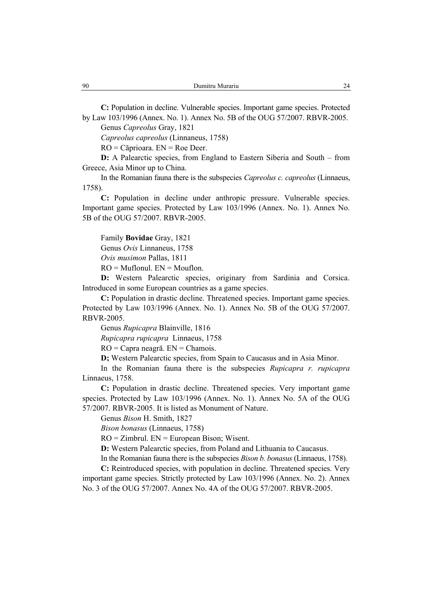**C:** Population in decline. Vulnerable species. Important game species. Protected by Law 103/1996 (Annex. No. 1). Annex No. 5B of the OUG 57/2007. RBVR-2005.

Genus *Capreolus* Gray, 1821

*Capreolus capreolus* (Linnaneus, 1758)

RO = Căprioara. EN = Roe Deer.

**D:** A Palearctic species, from England to Eastern Siberia and South – from Greece, Asia Minor up to China.

In the Romanian fauna there is the subspecies *Capreolus c. capreolus* (Linnaeus, 1758).

**C:** Population in decline under anthropic pressure. Vulnerable species. Important game species. Protected by Law 103/1996 (Annex. No. 1). Annex No. 5B of the OUG 57/2007. RBVR-2005.

Family **Bovidae** Gray, 1821

Genus *Ovis* Linnaneus, 1758

*Ovis musimon* Pallas, 1811

 $RO = Muflonul. EN = Mouflon.$ 

**D:** Western Palearctic species, originary from Sardinia and Corsica. Introduced in some European countries as a game species.

**C:** Population in drastic decline. Threatened species. Important game species. Protected by Law 103/1996 (Annex. No. 1). Annex No. 5B of the OUG 57/2007. RBVR-2005.

Genus *Rupicapra* Blainville, 1816

*Rupicapra rupicapra* Linnaeus, 1758

RO = Capra neagră. EN = Chamois.

**D;** Western Palearctic species, from Spain to Caucasus and in Asia Minor.

In the Romanian fauna there is the subspecies *Rupicapra r. rupicapra* Linnaeus, 1758.

**C:** Population in drastic decline. Threatened species. Very important game species. Protected by Law 103/1996 (Annex. No. 1). Annex No. 5A of the OUG 57/2007. RBVR-2005. It is listed as Monument of Nature.

Genus *Bison* H. Smith, 1827

*Bison bonasus* (Linnaeus, 1758)

 $RO = Zimbrul. EN = European Bison; Wisent.$ 

**D:** Western Palearctic species, from Poland and Lithuania to Caucasus.

In the Romanian fauna there is the subspecies *Bison b. bonasus* (Linnaeus, 1758).

**C:** Reintroduced species, with population in decline. Threatened species. Very important game species. Strictly protected by Law 103/1996 (Annex. No. 2). Annex No. 3 of the OUG 57/2007. Annex No. 4A of the OUG 57/2007. RBVR-2005.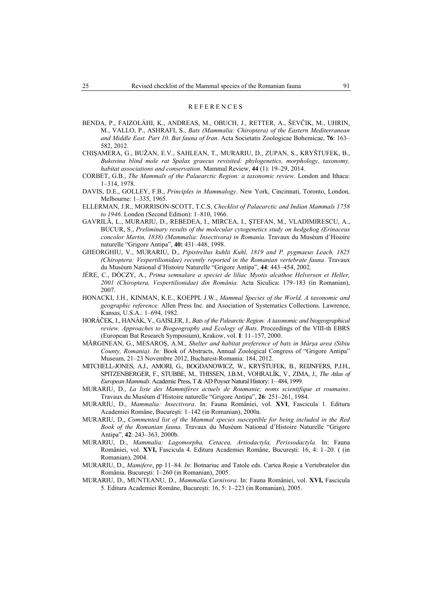#### REFERENCES

- BENDA, P., FAIZOLÁHI, K., ANDREAS, M., OBUCH, J., RETTER, A., ŠEVČIK, M., UHRIN, M., VALLO, P., ASHRAFI, S., *Bats (Mammalia: Chiroptera) of the Eastern Mediterranean and Middle East. Part 10. Bat fauna of Iran*. Acta Societatis Zoologicae Bohemicae, **76**: 163– 582, 2012.
- CHIŞAMERA, G., BUŽAN, E.V., SAHLEAN, T., MURARIU, D., ZUPAN, S., KRYŠTUFEK, B., *Bukovina blind mole rat Spalax graecus revisited: phylogenetics, morphology, taxonomy, habitat associations and conservation*. Mammal Review, **44** (1): 19–29, 2014.
- CORBET, G.B., *The Mammals of the Palaearctic Region: a taxonomic review*. London and Ithaca: 1–314, 1978.
- DAVIS, D.E., GOLLEY, F.B., *Principles in Mammalogy*. New York, Cincinnati, Toronto, London, Melbourne: 1–335, 1965.
- ELLERMAN, J.R., MORRISON-SCOTT, T.C.S, *Checklist of Palaearctic and Indian Mammals 1758 to 1946*. London (Second Edition): 1–810, 1966.
- GAVRILĂ, L., MURARIU, D., REBEDEA, I., MIRCEA, I., ŞTEFAN, M., VLADIMIRESCU, A., BUCUR, S., *Preliminary results of the molecular cytogenetics study on hedgehog (Erinaceus concolor Martin, 1838) (Mammalia: Insectivora) in Romania*. Travaux du Muséum d'Hisoire naturelle "Grigore Antipa", **40:** 431–448, 1998.
- GHEORGHIU, V., MURARIU, D., *Pipistrellus kuhlii Kuhl, 1819 and P. pygmaeus Leach, 1825 (Chiroptera: Vespertilionidae) recently reported in the Romanian vertebrate fauna*. Travaux du Muséum National d'Histoire Naturelle "Grigore Antipa", **44**: 443–454, 2002.
- JÉRE, C., DÓCZY, A., *Prima semnalare a speciei de liliac Myotis alcathoe Helversen et Heller, 2001 (Chiroptera, Vespertilionidae) din România*. Acta Siculica: 179–183 (in Romanian), 2007.
- HONACKI, J.H., KINMAN, K.E., KOEPPL J.W., *Mammal Species of the World. A taxonomic and geographic reference.* Allen Press Inc. and Asociation of Systematics Collections. Lawrence, Kansas, U.S.A.: 1–694, 1982.
- HORÁČEK, I., HANÁK, V., GAISLER, J., *Bats of the Palearctic Region: A taxonomic and biogeographical review. Approaches to Biogeography and Ecology of Bats.* Proceedings of the VIII-th EBRS (European Bat Research Symposium), Krakow, vol. **I**: 11–157, 2000.
- MĂRGINEAN, G., MESAROŞ, A.M., *Shelter and habitat preference of bats in Mârşa area (Sibiu County, Romania)*. *In:* Book of Abstracts, Annual Zoological Congress of "Grigore Antipa" Museum, 21–23 Novembre 2012, Bucharest-Romania: 184, 2012.
- MITCHELL-JONES, A.J., AMORI, G., BOGDANOWICZ, W., KRYŠTUFEK, B., REIJNFERS, P.J.H., SPITZENBERGER, F., STUBBE, M., THISSEN, J.B.M., VOHRALÍK, V., ZIMA, J., *The Atlas of European Mammals*. Academic Press, T & AD Poyser Natural History: 1– 484, 1999.
- MURARIU, D., *La liste des Mammifères actuels de Roumanie; noms scientifique et roumains*. Travaux du Muséum d'Histoire naturelle "Grigore Antipa", **26**: 251–261, 1984.
- MURARIU, D., *Mammalia: Insectivora*. In: Fauna României, vol. **XVI**, Fascicula 1. Editura Academiei Române, Bucureşti: 1–142 (in Romanian), 2000a.
- MURARIU, D., *Commented list of the Mammal species susceptible for being included in the Red Book of the Romanian fauna*. Travaux du Muséum National d'Histoire Naturelle "Grigore Antipa", **42**: 243–363, 2000b.
- MURARIU, D., *Mammalia: Lagomorpha, Cetacea, Artiodactyla, Perissodactyla*. In: Fauna României, vol. **XVI,** Fascicula 4. Editura Academiei Române, Bucureşti: 16, 4: 1–20. ( (in Romanian), 2004.
- MURARIU, D., *Mamifere*, pp 11–84. *In*: Botnariuc and Tatole eds. Cartea Roşie a Vertebratelor din România. Bucureşti: 1–260 (in Romanian), 2005.
- MURARIU, D., MUNTEANU, D., *Mammalia:Carnivora*. In: Fauna României, vol. **XVI,** Fascicula 5. Editura Academiei Române, Bucureşti: 16, 5: 1–223 (in Romanian), 2005.